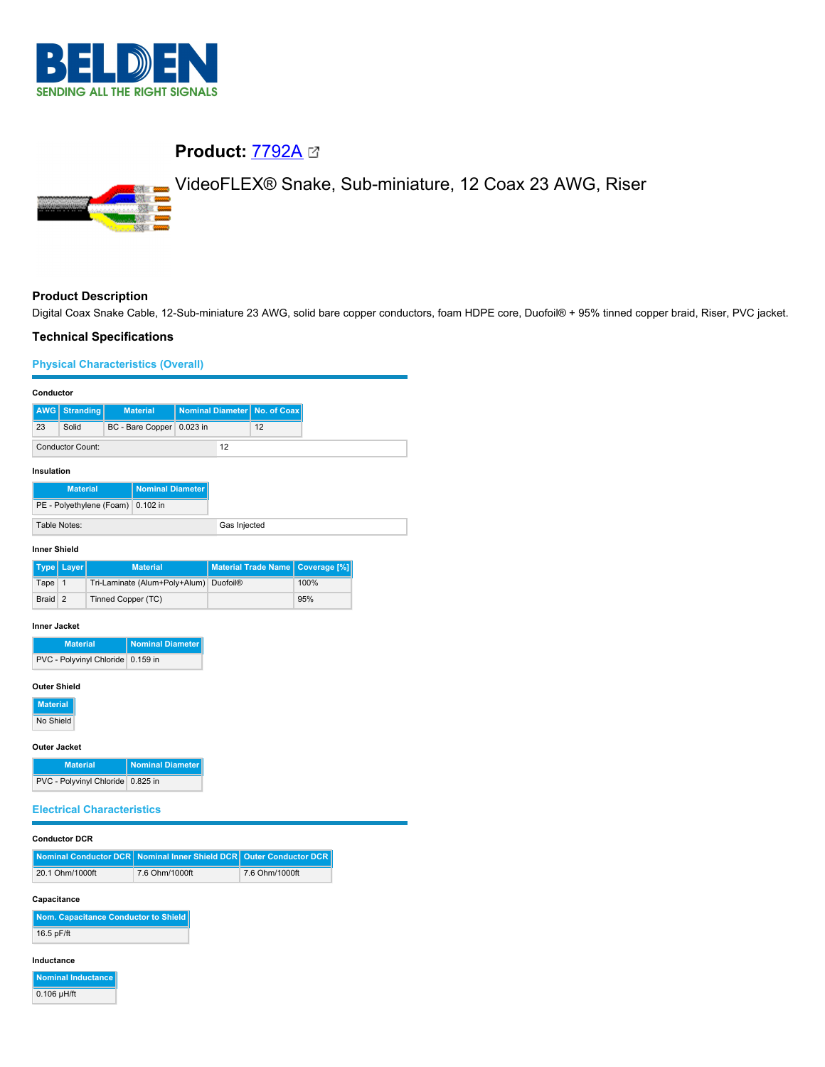

# **Product: [7792A](https://catalog.belden.com/index.cfm?event=pd&p=PF_7792A&tab=downloads) 23**

VideoFLEX® Snake, Sub-miniature, 12 Coax 23 AWG, Riser



# **Product Description**

Digital Coax Snake Cable, 12-Sub-miniature 23 AWG, solid bare copper conductors, foam HDPE core, Duofoil® + 95% tinned copper braid, Riser, PVC jacket.

### **Technical Specifications**

## **Physical Characteristics (Overall)**

| Conductor        |                      |                           |    |  |                                |
|------------------|----------------------|---------------------------|----|--|--------------------------------|
|                  | <b>AWG</b> Stranding | <b>Material</b>           |    |  | Nominal Diameter   No. of Coax |
| 23               | Solid                | BC - Bare Copper 0.023 in |    |  | 12                             |
| Conductor Count: |                      |                           | 12 |  |                                |

#### **Insulation**

| <b>Material</b>                   | Nominal Diameter |  |
|-----------------------------------|------------------|--|
| PE - Polyethylene (Foam) 0.102 in |                  |  |
| Table Notes:                      |                  |  |

### **Inner Shield**

|         | Type Layer | <b>Material</b>                        | Material Trade Name Coverage [%] |      |
|---------|------------|----------------------------------------|----------------------------------|------|
| Tape 1  |            | Tri-Laminate (Alum+Poly+Alum) Duofoil® |                                  | 100% |
| Braid 2 |            | Tinned Copper (TC)                     |                                  | 95%  |

#### **Inner Jacket**

| <b>Material</b>                   | Nominal Diameter |
|-----------------------------------|------------------|
| PVC - Polyvinyl Chloride 0.159 in |                  |

#### **Outer Shield**

**Material**

No Shield

### **Outer Jacket**

| <b>Material</b>                   | Nominal Diameter |
|-----------------------------------|------------------|
| PVC - Polyvinyl Chloride 0.825 in |                  |

# **Electrical Characteristics**

#### **Conductor DCR**

|                 | Nominal Conductor DCR Nominal Inner Shield DCR Quter Conductor DCR |                |
|-----------------|--------------------------------------------------------------------|----------------|
| 20.1 Ohm/1000ft | 7.6 Ohm/1000ft                                                     | 7.6 Ohm/1000ft |
|                 |                                                                    |                |

### **Capacitance**

**Nom. Capacitance Conductor to Shield** 16.5 pF/ft

#### **Inductance**

**Nominal Inductance**  $0.106$   $\mu$ H/ft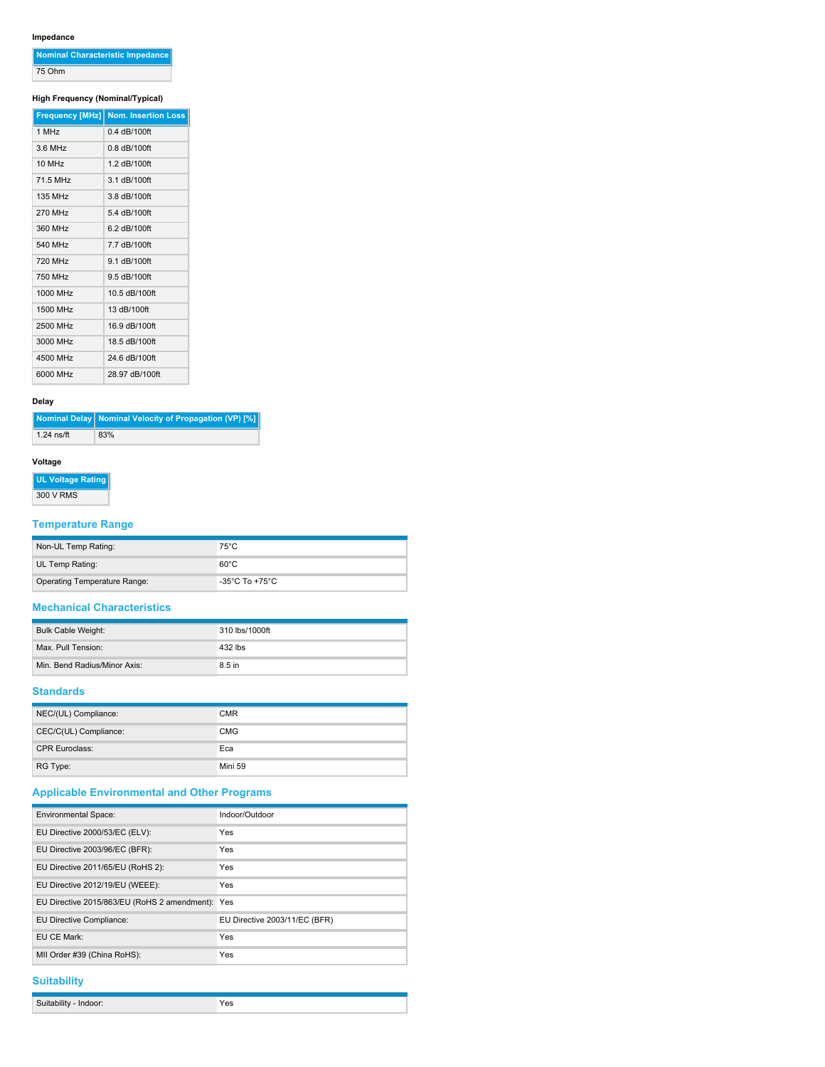# **Impedance**

| Nominal Characteristic Impedance |
|----------------------------------|
| 75 Ohm                           |

# **High Frequency (Nominal/Typical)**

|                | Frequency [MHz] Nom. Insertion Loss |
|----------------|-------------------------------------|
| $1$ MH $z$     | $0.4$ dB/100ft                      |
| 36 MHz         | $0.8$ dB/100ft                      |
| 10 MHz         | 1.2 dB/100ft                        |
| 71.5 MHz       | 3.1 dB/100ft                        |
| 135 MHz        | 3.8 dB/100ft                        |
| 270 MHz        | 5.4 dB/100ft                        |
| 360 MHz        | 6.2 dB/100ft                        |
| 540 MHz        | 7.7 dB/100ft                        |
| <b>720 MHz</b> | 9.1 dB/100ft                        |
| 750 MHz        | 9.5 dB/100ft                        |
| 1000 MHz       | 10.5 dB/100ft                       |
| 1500 MHz       | 13 dB/100ft                         |
| 2500 MHz       | 16.9 dB/100ft                       |
| 3000 MHz       | 18.5 dB/100ft                       |
| 4500 MHz       | 24.6 dB/100ft                       |
| 6000 MHz       | 28.97 dB/100ft                      |

### **Delay**

|              | Nominal Delay Nominal Velocity of Propagation (VP) [%] |
|--------------|--------------------------------------------------------|
| $1.24$ ns/ft | 83%                                                    |

### **Voltage**

**UL Voltage Rating**

300 V RMS

# **Temperature Range**

| Non-UL Temp Rating:          | $75^{\circ}$ C                     |
|------------------------------|------------------------------------|
| UL Temp Rating:              | $60^{\circ}$ C                     |
| Operating Temperature Range: | $-35^{\circ}$ C To $+75^{\circ}$ C |

### **Mechanical Characteristics**

| <b>Bulk Cable Weight:</b>    | 310 lbs/1000ft |
|------------------------------|----------------|
| Max. Pull Tension:           | 432 lbs        |
| Min. Bend Radius/Minor Axis: | 8.5 in         |

## **Standards**

| NEC/(UL) Compliance:  | <b>CMR</b> |
|-----------------------|------------|
| CEC/C(UL) Compliance: | <b>CMG</b> |
| <b>CPR Euroclass:</b> | Eca        |
| RG Type:              | Mini 59    |

# **Applicable Environmental and Other Programs**

| <b>Environmental Space:</b>                  | Indoor/Outdoor                |
|----------------------------------------------|-------------------------------|
| EU Directive 2000/53/EC (ELV):               | Yes                           |
| EU Directive 2003/96/EC (BFR):               | Yes                           |
| EU Directive 2011/65/EU (RoHS 2):            | Yes                           |
| EU Directive 2012/19/EU (WEEE):              | Yes                           |
| EU Directive 2015/863/EU (RoHS 2 amendment): | Yes                           |
| EU Directive Compliance:                     | EU Directive 2003/11/EC (BFR) |
| EU CE Mark:                                  | Yes                           |
| MII Order #39 (China RoHS):                  | Yes                           |

### **Suitability**

| 'es<br>$\cdots$<br><b>Paranum</b><br>$\cdot$ $\cdot$ $\cdot$ |
|--------------------------------------------------------------|
|--------------------------------------------------------------|